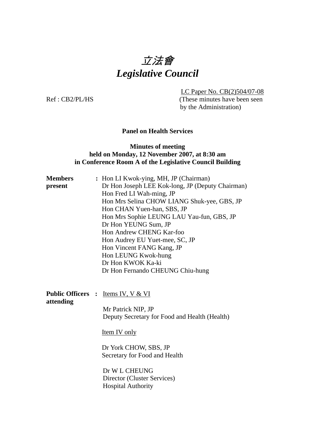# 立法會 *Legislative Council*

LC Paper No. CB(2)504/07-08

Ref : CB2/PL/HS (These minutes have been seen by the Administration)

## **Panel on Health Services**

#### **Minutes of meeting held on Monday, 12 November 2007, at 8:30 am in Conference Room A of the Legislative Council Building**

| <b>Members</b>                        | : Hon LI Kwok-ying, MH, JP (Chairman)                                     |
|---------------------------------------|---------------------------------------------------------------------------|
| present                               | Dr Hon Joseph LEE Kok-long, JP (Deputy Chairman)                          |
|                                       | Hon Fred LI Wah-ming, JP                                                  |
|                                       | Hon Mrs Selina CHOW LIANG Shuk-yee, GBS, JP                               |
|                                       | Hon CHAN Yuen-han, SBS, JP                                                |
|                                       | Hon Mrs Sophie LEUNG LAU Yau-fun, GBS, JP                                 |
|                                       | Dr Hon YEUNG Sum, JP                                                      |
|                                       | Hon Andrew CHENG Kar-foo                                                  |
|                                       | Hon Audrey EU Yuet-mee, SC, JP                                            |
|                                       | Hon Vincent FANG Kang, JP                                                 |
|                                       | Hon LEUNG Kwok-hung                                                       |
|                                       | Dr Hon KWOK Ka-ki                                                         |
|                                       | Dr Hon Fernando CHEUNG Chiu-hung                                          |
|                                       |                                                                           |
| <b>Public Officers :</b><br>attending | <u>Items IV, V &amp; VI</u>                                               |
|                                       | Mr Patrick NIP, JP                                                        |
|                                       | Deputy Secretary for Food and Health (Health)                             |
|                                       | <b>Item IV</b> only                                                       |
|                                       | Dr York CHOW, SBS, JP<br>Secretary for Food and Health                    |
|                                       | Dr W L CHEUNG<br>Director (Cluster Services)<br><b>Hospital Authority</b> |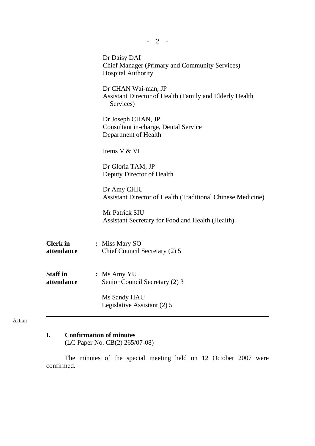| $-2$ -                        |                                                                                                    |
|-------------------------------|----------------------------------------------------------------------------------------------------|
|                               | Dr Daisy DAI<br><b>Chief Manager (Primary and Community Services)</b><br><b>Hospital Authority</b> |
|                               | Dr CHAN Wai-man, JP<br>Assistant Director of Health (Family and Elderly Health<br>Services)        |
|                               | Dr Joseph CHAN, JP<br>Consultant in-charge, Dental Service<br>Department of Health                 |
|                               | <u>Items V &amp; VI</u>                                                                            |
|                               | Dr Gloria TAM, JP<br>Deputy Director of Health                                                     |
|                               | Dr Amy CHIU<br><b>Assistant Director of Health (Traditional Chinese Medicine)</b>                  |
|                               | Mr Patrick SIU<br>Assistant Secretary for Food and Health (Health)                                 |
| <b>Clerk</b> in<br>attendance | : Miss Mary SO<br>Chief Council Secretary (2) 5                                                    |
| <b>Staff</b> in<br>attendance | $:$ Ms Amy YU<br>Senior Council Secretary (2) 3                                                    |
|                               | Ms Sandy HAU<br>Legislative Assistant (2) 5                                                        |

#### Action

## **I. Confirmation of minutes**

(LC Paper No. CB(2) 265/07-08)

 The minutes of the special meeting held on 12 October 2007 were confirmed.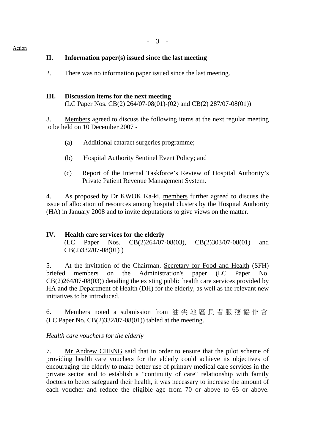## **II. Information paper(s) issued since the last meeting**

2. There was no information paper issued since the last meeting.

#### **III. Discussion items for the next meeting**

(LC Paper Nos. CB(2) 264/07-08(01)-(02) and CB(2) 287/07-08(01))

3. Members agreed to discuss the following items at the next regular meeting to be held on 10 December 2007 -

- (a) Additional cataract surgeries programme;
- (b) Hospital Authority Sentinel Event Policy; and
- (c) Report of the Internal Taskforce's Review of Hospital Authority's Private Patient Revenue Management System.

4. As proposed by Dr KWOK Ka-ki, members further agreed to discuss the issue of allocation of resources among hospital clusters by the Hospital Authority (HA) in January 2008 and to invite deputations to give views on the matter.

## **IV. Health care services for the elderly**

 (LC Paper Nos. CB(2)264/07-08(03), CB(2)303/07-08(01) and CB(2)332/07-08(01) )

5. At the invitation of the Chairman, Secretary for Food and Health (SFH) briefed members on the Administration's paper (LC Paper No. CB(2)264/07-08(03)) detailing the existing public health care services provided by HA and the Department of Health (DH) for the elderly, as well as the relevant new initiatives to be introduced.

6. Members noted a submission from 油尖地區長者服務協作會 (LC Paper No.  $CB(2)332/07-08(01)$ ) tabled at the meeting.

## *Health care vouchers for the elderly*

7. Mr Andrew CHENG said that in order to ensure that the pilot scheme of providing health care vouchers for the elderly could achieve its objectives of encouraging the elderly to make better use of primary medical care services in the private sector and to establish a "continuity of care" relationship with family doctors to better safeguard their health, it was necessary to increase the amount of each voucher and reduce the eligible age from 70 or above to 65 or above.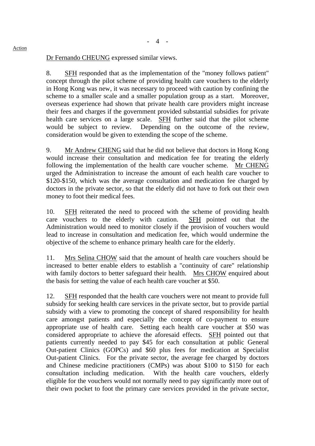Dr Fernando CHEUNG expressed similar views.

8. SFH responded that as the implementation of the "money follows patient" concept through the pilot scheme of providing health care vouchers to the elderly in Hong Kong was new, it was necessary to proceed with caution by confining the scheme to a smaller scale and a smaller population group as a start. Moreover, overseas experience had shown that private health care providers might increase their fees and charges if the government provided substantial subsidies for private health care services on a large scale. SFH further said that the pilot scheme would be subject to review. Depending on the outcome of the review, consideration would be given to extending the scope of the scheme.

9. Mr Andrew CHENG said that he did not believe that doctors in Hong Kong would increase their consultation and medication fee for treating the elderly following the implementation of the health care voucher scheme. Mr CHENG urged the Administration to increase the amount of each health care voucher to \$120-\$150, which was the average consultation and medication fee charged by doctors in the private sector, so that the elderly did not have to fork out their own money to foot their medical fees.

10. SFH reiterated the need to proceed with the scheme of providing health care vouchers to the elderly with caution. SFH pointed out that the Administration would need to monitor closely if the provision of vouchers would lead to increase in consultation and medication fee, which would undermine the objective of the scheme to enhance primary health care for the elderly.

11. Mrs Selina CHOW said that the amount of health care vouchers should be increased to better enable elders to establish a "continuity of care" relationship with family doctors to better safeguard their health. Mrs CHOW enquired about the basis for setting the value of each health care voucher at \$50.

12. SFH responded that the health care vouchers were not meant to provide full subsidy for seeking health care services in the private sector, but to provide partial subsidy with a view to promoting the concept of shared responsibility for health care amongst patients and especially the concept of co-payment to ensure appropriate use of health care. Setting each health care voucher at \$50 was considered appropriate to achieve the aforesaid effects. SFH pointed out that patients currently needed to pay \$45 for each consultation at public General Out-patient Clinics (GOPCs) and \$60 plus fees for medication at Specialist Out-patient Clinics. For the private sector, the average fee charged by doctors and Chinese medicine practitioners (CMPs) was about \$100 to \$150 for each consultation including medication. With the health care vouchers, elderly eligible for the vouchers would not normally need to pay significantly more out of their own pocket to foot the primary care services provided in the private sector,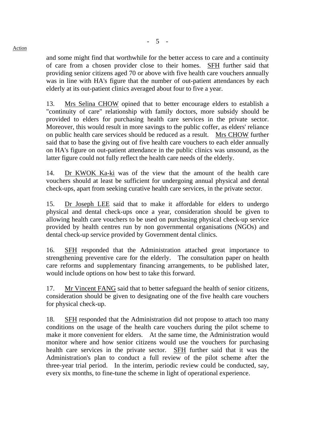and some might find that worthwhile for the better access to care and a continuity of care from a chosen provider close to their homes. SFH further said that providing senior citizens aged 70 or above with five health care vouchers annually was in line with HA's figure that the number of out-patient attendances by each elderly at its out-patient clinics averaged about four to five a year.

13. Mrs Selina CHOW opined that to better encourage elders to establish a "continuity of care" relationship with family doctors, more subsidy should be provided to elders for purchasing health care services in the private sector. Moreover, this would result in more savings to the public coffer, as elders' reliance on public health care services should be reduced as a result. Mrs CHOW further said that to base the giving out of five health care vouchers to each elder annually on HA's figure on out-patient attendance in the public clinics was unsound, as the latter figure could not fully reflect the health care needs of the elderly.

14. Dr KWOK Ka-ki was of the view that the amount of the health care vouchers should at least be sufficient for undergoing annual physical and dental check-ups, apart from seeking curative health care services, in the private sector.

15. Dr Joseph LEE said that to make it affordable for elders to undergo physical and dental check-ups once a year, consideration should be given to allowing health care vouchers to be used on purchasing physical check-up service provided by health centres run by non governmental organisations (NGOs) and dental check-up service provided by Government dental clinics.

16. SFH responded that the Administration attached great importance to strengthening preventive care for the elderly. The consultation paper on health care reforms and supplementary financing arrangements, to be published later, would include options on how best to take this forward.

17. Mr Vincent FANG said that to better safeguard the health of senior citizens, consideration should be given to designating one of the five health care vouchers for physical check-up.

18. SFH responded that the Administration did not propose to attach too many conditions on the usage of the health care vouchers during the pilot scheme to make it more convenient for elders. At the same time, the Administration would monitor where and how senior citizens would use the vouchers for purchasing health care services in the private sector. SFH further said that it was the Administration's plan to conduct a full review of the pilot scheme after the three-year trial period. In the interim, periodic review could be conducted, say, every six months, to fine-tune the scheme in light of operational experience.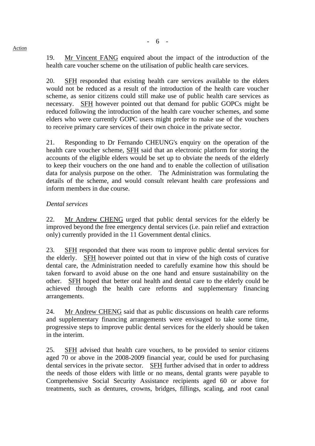19. Mr Vincent FANG enquired about the impact of the introduction of the health care voucher scheme on the utilisation of public health care services.

20. SFH responded that existing health care services available to the elders would not be reduced as a result of the introduction of the health care voucher scheme, as senior citizens could still make use of public health care services as necessary. SFH however pointed out that demand for public GOPCs might be reduced following the introduction of the health care voucher schemes, and some elders who were currently GOPC users might prefer to make use of the vouchers to receive primary care services of their own choice in the private sector.

21. Responding to Dr Fernando CHEUNG's enquiry on the operation of the health care voucher scheme, SFH said that an electronic platform for storing the accounts of the eligible elders would be set up to obviate the needs of the elderly to keep their vouchers on the one hand and to enable the collection of utilisation data for analysis purpose on the other. The Administration was formulating the details of the scheme, and would consult relevant health care professions and inform members in due course.

## *Dental services*

22. Mr Andrew CHENG urged that public dental services for the elderly be improved beyond the free emergency dental services (i.e. pain relief and extraction only) currently provided in the 11 Government dental clinics.

23. SFH responded that there was room to improve public dental services for the elderly. SFH however pointed out that in view of the high costs of curative dental care, the Administration needed to carefully examine how this should be taken forward to avoid abuse on the one hand and ensure sustainability on the other. SFH hoped that better oral health and dental care to the elderly could be achieved through the health care reforms and supplementary financing arrangements.

24. Mr Andrew CHENG said that as public discussions on health care reforms and supplementary financing arrangements were envisaged to take some time, progressive steps to improve public dental services for the elderly should be taken in the interim.

25. SFH advised that health care vouchers, to be provided to senior citizens aged 70 or above in the 2008-2009 financial year, could be used for purchasing dental services in the private sector. SFH further advised that in order to address the needs of those elders with little or no means, dental grants were payable to Comprehensive Social Security Assistance recipients aged 60 or above for treatments, such as dentures, crowns, bridges, fillings, scaling, and root canal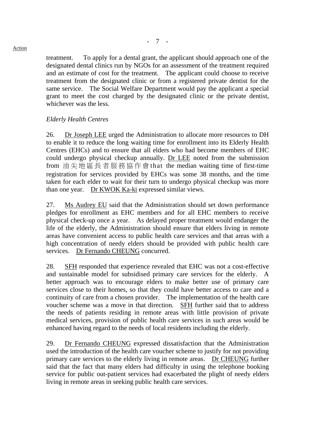treatment. To apply for a dental grant, the applicant should approach one of the designated dental clinics run by NGOs for an assessment of the treatment required and an estimate of cost for the treatment. The applicant could choose to receive treatment from the designated clinic or from a registered private dentist for the same service. The Social Welfare Department would pay the applicant a special grant to meet the cost charged by the designated clinic or the private dentist, whichever was the less.

#### *Elderly Health Centres*

26. Dr Joseph LEE urged the Administration to allocate more resources to DH to enable it to reduce the long waiting time for enrollment into its Elderly Health Centres (EHCs) and to ensure that all elders who had become members of EHC could undergo physical checkup annually. Dr LEE noted from the submission from 油尖地區長者服務協作會 that the median waiting time of first-time registration for services provided by EHCs was some 38 months, and the time taken for each elder to wait for their turn to undergo physical checkup was more than one year. Dr KWOK Ka-ki expressed similar views.

27. Ms Audrey EU said that the Administration should set down performance pledges for enrollment as EHC members and for all EHC members to receive physical check-up once a year. As delayed proper treatment would endanger the life of the elderly, the Administration should ensure that elders living in remote areas have convenient access to public health care services and that areas with a high concentration of needy elders should be provided with public health care services. Dr Fernando CHEUNG concurred.

28. SFH responded that experience revealed that EHC was not a cost-effective and sustainable model for subsidised primary care services for the elderly. A better approach was to encourage elders to make better use of primary care services close to their homes, so that they could have better access to care and a continuity of care from a chosen provider. The implementation of the health care voucher scheme was a move in that direction. SFH further said that to address the needs of patients residing in remote areas with little provision of private medical services, provision of public health care services in such areas would be enhanced having regard to the needs of local residents including the elderly.

29. Dr Fernando CHEUNG expressed dissatisfaction that the Administration used the introduction of the health care voucher scheme to justify for not providing primary care services to the elderly living in remote areas. Dr CHEUNG further said that the fact that many elders had difficulty in using the telephone booking service for public out-patient services had exacerbated the plight of needy elders living in remote areas in seeking public health care services.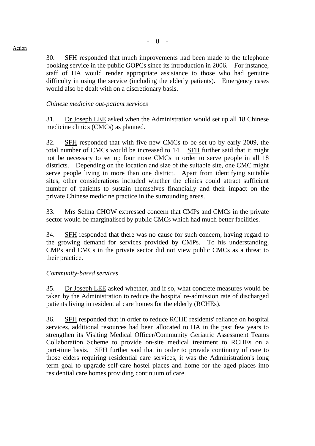30. SFH responded that much improvements had been made to the telephone booking service in the public GOPCs since its introduction in 2006. For instance, staff of HA would render appropriate assistance to those who had genuine difficulty in using the service (including the elderly patients). Emergency cases would also be dealt with on a discretionary basis.

#### *Chinese medicine out-patient services*

31. Dr Joseph LEE asked when the Administration would set up all 18 Chinese medicine clinics (CMCs) as planned.

32. SFH responded that with five new CMCs to be set up by early 2009, the total number of CMCs would be increased to 14. SFH further said that it might not be necessary to set up four more CMCs in order to serve people in all 18 districts. Depending on the location and size of the suitable site, one CMC might serve people living in more than one district. Apart from identifying suitable sites, other considerations included whether the clinics could attract sufficient number of patients to sustain themselves financially and their impact on the private Chinese medicine practice in the surrounding areas.

33. Mrs Selina CHOW expressed concern that CMPs and CMCs in the private sector would be marginalised by public CMCs which had much better facilities.

34. SFH responded that there was no cause for such concern, having regard to the growing demand for services provided by CMPs. To his understanding, CMPs and CMCs in the private sector did not view public CMCs as a threat to their practice.

#### *Community-based services*

35. Dr Joseph LEE asked whether, and if so, what concrete measures would be taken by the Administration to reduce the hospital re-admission rate of discharged patients living in residential care homes for the elderly (RCHEs).

36. SFH responded that in order to reduce RCHE residents' reliance on hospital services, additional resources had been allocated to HA in the past few years to strengthen its Visiting Medical Officer/Community Geriatric Assessment Teams Collaboration Scheme to provide on-site medical treatment to RCHEs on a part-time basis. SFH further said that in order to provide continuity of care to those elders requiring residential care services, it was the Administration's long term goal to upgrade self-care hostel places and home for the aged places into residential care homes providing continuum of care.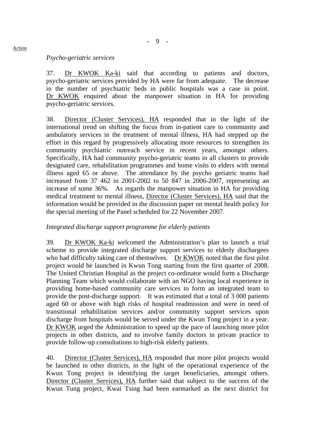#### *Psycho-geriatric services*

37. Dr KWOK Ka-ki said that according to patients and doctors, psycho-geriatric services provided by HA were far from adequate. The decrease in the number of psychiatric beds in public hospitals was a case in point. Dr KWOK enquired about the manpower situation in HA for providing psycho-geriatric services.

38. Director (Cluster Services), HA responded that in the light of the international trend on shifting the focus from in-patient care to community and ambulatory services in the treatment of mental illness, HA had stepped up the effort in this regard by progressively allocating more resources to strengthen its community psychiatric outreach service in recent years, amongst others. Specifically, HA had community psycho-geriatric teams in all clusters to provide designated care, rehabilitation programmes and home visits to elders with mental illness aged 65 or above. The attendance by the psycho geriatric teams had increased from 37 462 in 2001-2002 to 50 847 in 2006-2007, representing an increase of some 36%. As regards the manpower situation in HA for providing medical treatment to mental illness, Director (Cluster Services), HA said that the information would be provided in the discussion paper on mental health policy for the special meeting of the Panel scheduled for 22 November 2007.

#### *Integrated discharge support programme for elderly patients*

39. Dr KWOK Ka-ki welcomed the Administration's plan to launch a trial scheme to provide integrated discharge support services to elderly dischargees who had difficulty taking care of themselves. Dr KWOK noted that the first pilot project would be launched in Kwun Tong starting from the first quarter of 2008. The United Christian Hospital as the project co-ordinator would form a Discharge Planning Team which would collaborate with an NGO having local experience in providing home-based community care services to form an integrated team to provide the post-discharge support. It was estimated that a total of 3 000 patients aged 60 or above with high risks of hospital readmission and were in need of transitional rehabilitation services and/or community support services upon discharge from hospitals would be served under the Kwun Tong project in a year. Dr KWOK urged the Administration to speed up the pace of launching more pilot projects in other districts, and to involve family doctors in private practice to provide follow-up consultations to high-risk elderly patients.

40. Director (Cluster Services), HA responded that more pilot projects would be launched in other districts, in the light of the operational experience of the Kwun Tong project in identifying the target beneficiaries, amongst others. Director (Cluster Services), HA further said that subject to the success of the Kwun Tung project, Kwai Tsing had been earmarked as the next district for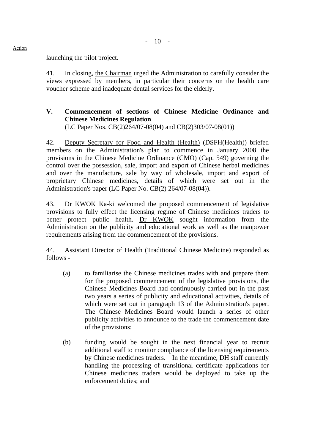- 10 -

launching the pilot project.

41. In closing, the Chairman urged the Administration to carefully consider the views expressed by members, in particular their concerns on the health care voucher scheme and inadequate dental services for the elderly.

# **V. Commencement of sections of Chinese Medicine Ordinance and Chinese Medicines Regulation**

(LC Paper Nos. CB(2)264/07-08(04) and CB(2)303/07-08(01))

42. Deputy Secretary for Food and Health (Health) (DSFH(Health)) briefed members on the Administration's plan to commence in January 2008 the provisions in the Chinese Medicine Ordinance (CMO) (Cap. 549) governing the control over the possession, sale, import and export of Chinese herbal medicines and over the manufacture, sale by way of wholesale, import and export of proprietary Chinese medicines, details of which were set out in the Administration's paper (LC Paper No. CB(2) 264/07-08(04)).

43. Dr KWOK Ka-ki welcomed the proposed commencement of legislative provisions to fully effect the licensing regime of Chinese medicines traders to better protect public health. Dr KWOK sought information from the Administration on the publicity and educational work as well as the manpower requirements arising from the commencement of the provisions.

44. Assistant Director of Health (Traditional Chinese Medicine) responded as follows -

- (a) to familiarise the Chinese medicines trades with and prepare them for the proposed commencement of the legislative provisions, the Chinese Medicines Board had continuously carried out in the past two years a series of publicity and educational activities, details of which were set out in paragraph 13 of the Administration's paper. The Chinese Medicines Board would launch a series of other publicity activities to announce to the trade the commencement date of the provisions;
- (b) funding would be sought in the next financial year to recruit additional staff to monitor compliance of the licensing requirements by Chinese medicines traders. In the meantime, DH staff currently handling the processing of transitional certificate applications for Chinese medicines traders would be deployed to take up the enforcement duties; and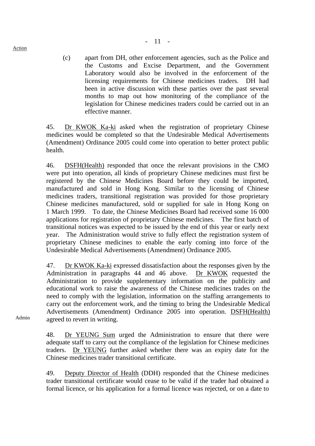(c) apart from DH, other enforcement agencies, such as the Police and the Customs and Excise Department, and the Government Laboratory would also be involved in the enforcement of the licensing requirements for Chinese medicines traders. DH had been in active discussion with these parties over the past several months to map out how monitoring of the compliance of the legislation for Chinese medicines traders could be carried out in an effective manner.

45. Dr KWOK Ka-ki asked when the registration of proprietary Chinese medicines would be completed so that the Undesirable Medical Advertisements (Amendment) Ordinance 2005 could come into operation to better protect public health.

46. DSFH(Health) responded that once the relevant provisions in the CMO were put into operation, all kinds of proprietary Chinese medicines must first be registered by the Chinese Medicines Board before they could be imported, manufactured and sold in Hong Kong. Similar to the licensing of Chinese medicines traders, transitional registration was provided for those proprietary Chinese medicines manufactured, sold or supplied for sale in Hong Kong on 1 March 1999. To date, the Chinese Medicines Board had received some 16 000 applications for registration of proprietary Chinese medicines. The first batch of transitional notices was expected to be issued by the end of this year or early next year. The Administration would strive to fully effect the registration system of proprietary Chinese medicines to enable the early coming into force of the Undesirable Medical Advertisements (Amendment) Ordinance 2005.

47. Dr KWOK Ka-ki expressed dissatisfaction about the responses given by the Administration in paragraphs 44 and 46 above. Dr KWOK requested the Administration to provide supplementary information on the publicity and educational work to raise the awareness of the Chinese medicines trades on the need to comply with the legislation, information on the staffing arrangements to carry out the enforcement work, and the timing to bring the Undesirable Medical Advertisements (Amendment) Ordinance 2005 into operation. DSFH(Health) agreed to revert in writing.

Admin

48. Dr YEUNG Sum urged the Administration to ensure that there were adequate staff to carry out the compliance of the legislation for Chinese medicines traders. Dr YEUNG further asked whether there was an expiry date for the Chinese medicines trader transitional certificate.

49. Deputy Director of Health (DDH) responded that the Chinese medicines trader transitional certificate would cease to be valid if the trader had obtained a formal licence, or his application for a formal licence was rejected, or on a date to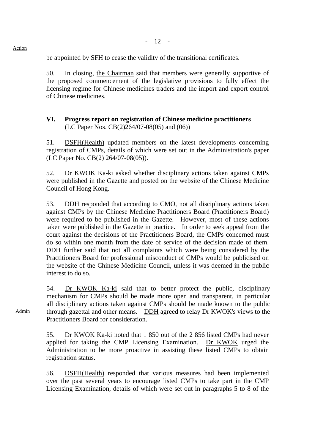be appointed by SFH to cease the validity of the transitional certificates.

50. In closing, the Chairman said that members were generally supportive of the proposed commencement of the legislative provisions to fully effect the licensing regime for Chinese medicines traders and the import and export control of Chinese medicines.

#### **VI. Progress report on registration of Chinese medicine practitioners**  (LC Paper Nos. CB(2)264/07-08(05) and (06))

51. DSFH(Health) updated members on the latest developments concerning registration of CMPs, details of which were set out in the Administration's paper (LC Paper No. CB(2) 264/07-08(05)).

52. Dr KWOK Ka-ki asked whether disciplinary actions taken against CMPs were published in the Gazette and posted on the website of the Chinese Medicine Council of Hong Kong.

53. DDH responded that according to CMO, not all disciplinary actions taken against CMPs by the Chinese Medicine Practitioners Board (Practitioners Board) were required to be published in the Gazette. However, most of these actions taken were published in the Gazette in practice. In order to seek appeal from the court against the decisions of the Practitioners Board, the CMPs concerned must do so within one month from the date of service of the decision made of them. DDH further said that not all complaints which were being considered by the Practitioners Board for professional misconduct of CMPs would be publicised on the website of the Chinese Medicine Council, unless it was deemed in the public interest to do so.

54. Dr KWOK Ka-ki said that to better protect the public, disciplinary mechanism for CMPs should be made more open and transparent, in particular all disciplinary actions taken against CMPs should be made known to the public through gazettal and other means. DDH agreed to relay Dr KWOK's views to the Practitioners Board for consideration.

55. Dr KWOK Ka-ki noted that 1 850 out of the 2 856 listed CMPs had never applied for taking the CMP Licensing Examination. Dr KWOK urged the Administration to be more proactive in assisting these listed CMPs to obtain registration status.

56. DSFH(Health) responded that various measures had been implemented over the past several years to encourage listed CMPs to take part in the CMP Licensing Examination, details of which were set out in paragraphs 5 to 8 of the

Action

Admin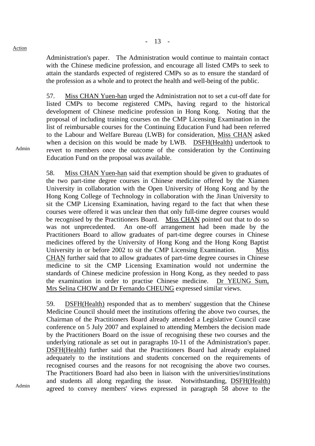Action

Admin

Administration's paper. The Administration would continue to maintain contact with the Chinese medicine profession, and encourage all listed CMPs to seek to attain the standards expected of registered CMPs so as to ensure the standard of the profession as a whole and to protect the health and well-being of the public.

57. Miss CHAN Yuen-han urged the Administration not to set a cut-off date for listed CMPs to become registered CMPs, having regard to the historical development of Chinese medicine profession in Hong Kong. Noting that the proposal of including training courses on the CMP Licensing Examination in the list of reimbursable courses for the Continuing Education Fund had been referred to the Labour and Welfare Bureau (LWB) for consideration, Miss CHAN asked when a decision on this would be made by LWB. DSFH(Health) undertook to revert to members once the outcome of the consideration by the Continuing Education Fund on the proposal was available.

58. Miss CHAN Yuen-han said that exemption should be given to graduates of the two part-time degree courses in Chinese medicine offered by the Xiamen University in collaboration with the Open University of Hong Kong and by the Hong Kong College of Technology in collaboration with the Jinan University to sit the CMP Licensing Examination, having regard to the fact that when these courses were offered it was unclear then that only full-time degree courses would be recognised by the Practitioners Board. Miss CHAN pointed out that to do so was not unprecedented. An one-off arrangement had been made by the Practitioners Board to allow graduates of part-time degree courses in Chinese medicines offered by the University of Hong Kong and the Hong Kong Baptist University in or before 2002 to sit the CMP Licensing Examination. Miss CHAN further said that to allow graduates of part-time degree courses in Chinese medicine to sit the CMP Licensing Examination would not undermine the standards of Chinese medicine profession in Hong Kong, as they needed to pass the examination in order to practise Chinese medicine. Dr YEUNG Sum, Mrs Selina CHOW and Dr Fernando CHEUNG expressed similar views.

59. DSFH(Health) responded that as to members' suggestion that the Chinese Medicine Council should meet the institutions offering the above two courses, the Chairman of the Practitioners Board already attended a Legislative Council case conference on 5 July 2007 and explained to attending Members the decision made by the Practitioners Board on the issue of recognising these two courses and the underlying rationale as set out in paragraphs 10-11 of the Administration's paper. DSFH(Health) further said that the Practitioners Board had already explained adequately to the institutions and students concerned on the requirements of recognised courses and the reasons for not recognising the above two courses. The Practitioners Board had also been in liaison with the universities/institutions and students all along regarding the issue. Notwithstanding, DSFH(Health) agreed to convey members' views expressed in paragraph 58 above to the

Admin